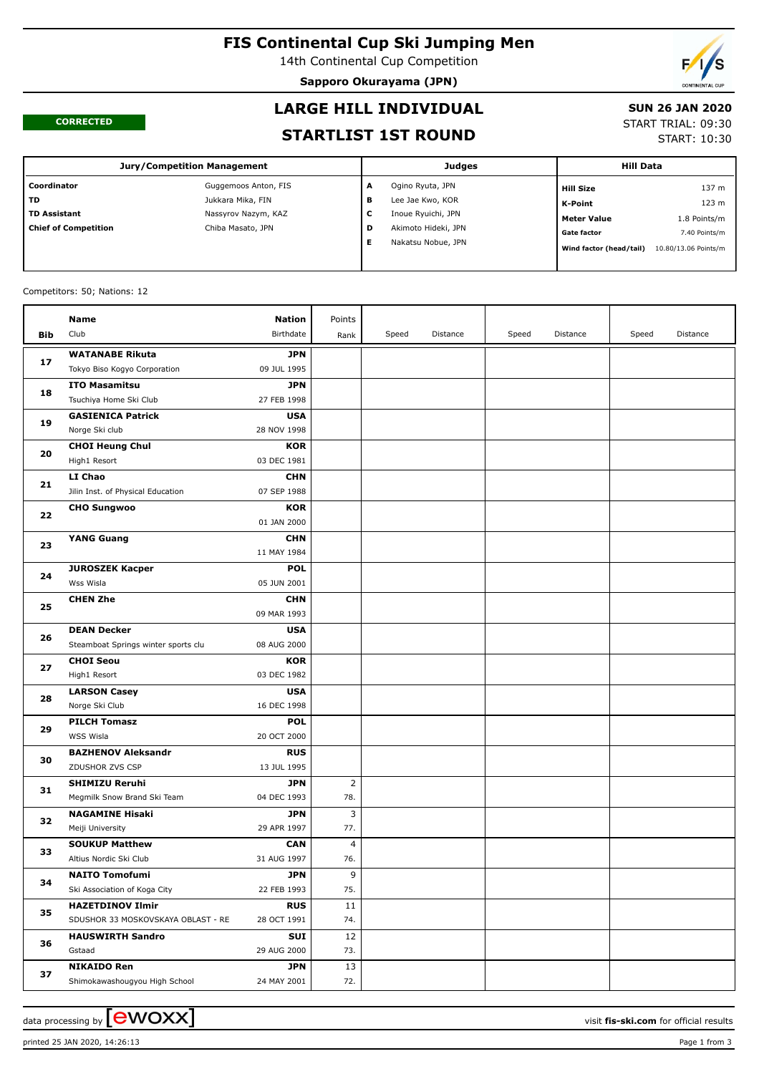# **FIS Continental Cup Ski Jumping Men**

14th Continental Cup Competition

**Sapporo Okurayama (JPN)**



#### **CORRECTED**

## **LARGE HILL INDIVIDUAL**

### **SUN 26 JAN 2020**

#### **STARTLIST 1ST ROUND**

START TRIAL: 09:30

START: 10:30

| <b>Jury/Competition Management</b> |                      |        | Judges              | <b>Hill Data</b>        |                      |  |
|------------------------------------|----------------------|--------|---------------------|-------------------------|----------------------|--|
| Coordinator                        | Guggemoos Anton, FIS | A      | Ogino Ryuta, JPN    | <b>Hill Size</b>        | 137 m                |  |
| l TD                               | Jukkara Mika, FIN    | в      | Lee Jae Kwo, KOR    | K-Point                 | 123 m                |  |
| l TD Assistant                     | Nassyrov Nazym, KAZ  | ┍<br>J | Inoue Ryuichi, JPN  | <b>Meter Value</b>      | 1.8 Points/m         |  |
| Chief of Competition               | Chiba Masato, JPN    | D      | Akimoto Hideki, JPN | <b>Gate factor</b>      | 7.40 Points/m        |  |
|                                    |                      |        | Nakatsu Nobue, JPN  | Wind factor (head/tail) | 10.80/13.06 Points/m |  |

#### Competitors: 50; Nations: 12

|     | Name                                                 | <b>Nation</b>             | Points         |       |          |       |          |       |          |
|-----|------------------------------------------------------|---------------------------|----------------|-------|----------|-------|----------|-------|----------|
| Bib | Club                                                 | Birthdate                 | Rank           | Speed | Distance | Speed | Distance | Speed | Distance |
|     | <b>WATANABE Rikuta</b>                               | <b>JPN</b>                |                |       |          |       |          |       |          |
| 17  | Tokyo Biso Kogyo Corporation                         | 09 JUL 1995               |                |       |          |       |          |       |          |
|     | <b>ITO Masamitsu</b>                                 | <b>JPN</b>                |                |       |          |       |          |       |          |
| 18  | Tsuchiya Home Ski Club                               | 27 FEB 1998               |                |       |          |       |          |       |          |
|     | <b>GASIENICA Patrick</b>                             | <b>USA</b>                |                |       |          |       |          |       |          |
| 19  | Norge Ski club                                       | 28 NOV 1998               |                |       |          |       |          |       |          |
|     | <b>CHOI Heung Chul</b>                               | <b>KOR</b>                |                |       |          |       |          |       |          |
| 20  | High1 Resort                                         | 03 DEC 1981               |                |       |          |       |          |       |          |
|     | LI Chao                                              | <b>CHN</b>                |                |       |          |       |          |       |          |
| 21  | Jilin Inst. of Physical Education                    | 07 SEP 1988               |                |       |          |       |          |       |          |
|     | <b>CHO Sungwoo</b>                                   | KOR                       |                |       |          |       |          |       |          |
| 22  |                                                      | 01 JAN 2000               |                |       |          |       |          |       |          |
| 23  | <b>YANG Guang</b>                                    | <b>CHN</b>                |                |       |          |       |          |       |          |
|     |                                                      | 11 MAY 1984               |                |       |          |       |          |       |          |
| 24  | <b>JUROSZEK Kacper</b>                               | <b>POL</b>                |                |       |          |       |          |       |          |
|     | Wss Wisla                                            | 05 JUN 2001               |                |       |          |       |          |       |          |
| 25  | <b>CHEN Zhe</b>                                      | <b>CHN</b>                |                |       |          |       |          |       |          |
|     |                                                      | 09 MAR 1993               |                |       |          |       |          |       |          |
| 26  | <b>DEAN Decker</b>                                   | <b>USA</b>                |                |       |          |       |          |       |          |
|     | Steamboat Springs winter sports clu                  | 08 AUG 2000               |                |       |          |       |          |       |          |
| 27  | <b>CHOI Seou</b>                                     | <b>KOR</b>                |                |       |          |       |          |       |          |
|     | High1 Resort                                         | 03 DEC 1982               |                |       |          |       |          |       |          |
| 28  | <b>LARSON Casey</b>                                  | <b>USA</b>                |                |       |          |       |          |       |          |
|     | Norge Ski Club                                       | 16 DEC 1998               |                |       |          |       |          |       |          |
| 29  | <b>PILCH Tomasz</b>                                  | <b>POL</b>                |                |       |          |       |          |       |          |
|     | WSS Wisla                                            | 20 OCT 2000               |                |       |          |       |          |       |          |
| 30  | <b>BAZHENOV Aleksandr</b>                            | <b>RUS</b>                |                |       |          |       |          |       |          |
|     | ZDUSHOR ZVS CSP                                      | 13 JUL 1995<br><b>JPN</b> | $\overline{2}$ |       |          |       |          |       |          |
| 31  | <b>SHIMIZU Reruhi</b><br>Megmilk Snow Brand Ski Team | 04 DEC 1993               | 78.            |       |          |       |          |       |          |
|     | <b>NAGAMINE Hisaki</b>                               | <b>JPN</b>                | 3              |       |          |       |          |       |          |
| 32  | Meiji University                                     | 29 APR 1997               | 77.            |       |          |       |          |       |          |
|     | <b>SOUKUP Matthew</b>                                | <b>CAN</b>                | $\overline{4}$ |       |          |       |          |       |          |
| 33  | Altius Nordic Ski Club                               | 31 AUG 1997               | 76.            |       |          |       |          |       |          |
|     | <b>NAITO Tomofumi</b>                                | <b>JPN</b>                | 9              |       |          |       |          |       |          |
| 34  | Ski Association of Koga City                         | 22 FEB 1993               | 75.            |       |          |       |          |       |          |
|     | <b>HAZETDINOV Ilmir</b>                              | <b>RUS</b>                | 11             |       |          |       |          |       |          |
| 35  | SDUSHOR 33 MOSKOVSKAYA OBLAST - RE                   | 28 OCT 1991               | 74.            |       |          |       |          |       |          |
|     | <b>HAUSWIRTH Sandro</b>                              | SUI                       | 12             |       |          |       |          |       |          |
| 36  | Gstaad                                               | 29 AUG 2000               | 73.            |       |          |       |          |       |          |
|     | <b>NIKAIDO Ren</b>                                   | <b>JPN</b>                | 13             |       |          |       |          |       |          |
| 37  | Shimokawashougyou High School                        | 24 MAY 2001               | 72.            |       |          |       |          |       |          |

printed 25 JAN 2020, 14:26:13 Page 1 from 3

data processing by **CWOXX** and  $\blacksquare$  and  $\blacksquare$  and  $\blacksquare$  and  $\blacksquare$  and  $\blacksquare$  and  $\blacksquare$  and  $\blacksquare$  and  $\blacksquare$  and  $\blacksquare$  and  $\blacksquare$  and  $\blacksquare$  and  $\blacksquare$  and  $\blacksquare$  and  $\blacksquare$  and  $\blacksquare$  and  $\blacksquare$  and  $\blacksquare$  and  $\blacks$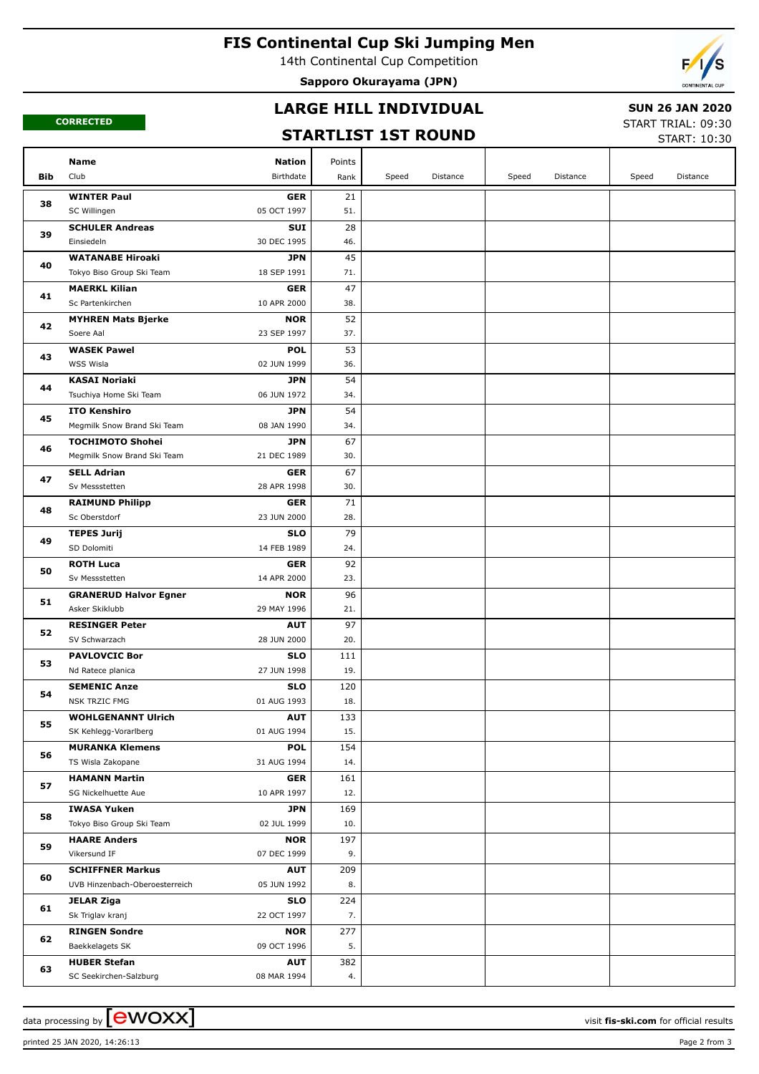# **FIS Continental Cup Ski Jumping Men**

14th Continental Cup Competition

**Sapporo Okurayama (JPN)**



**CORRECTED**

## **LARGE HILL INDIVIDUAL**

### **SUN 26 JAN 2020**

## **STARTLIST 1ST ROUND**

START TRIAL: 09:30 START: 10:30

|     | <b>Nation</b><br><b>Name</b>                               | Points                   |       |          |       |          |       |          |
|-----|------------------------------------------------------------|--------------------------|-------|----------|-------|----------|-------|----------|
| Bib | Club<br>Birthdate                                          | Rank                     | Speed | Distance | Speed | Distance | Speed | Distance |
|     | <b>WINTER Paul</b>                                         | 21<br><b>GER</b>         |       |          |       |          |       |          |
| 38  | 05 OCT 1997<br>SC Willingen                                | 51.                      |       |          |       |          |       |          |
|     | <b>SCHULER Andreas</b>                                     | 28<br><b>SUI</b>         |       |          |       |          |       |          |
| 39  | Einsiedeln<br>30 DEC 1995                                  | 46.                      |       |          |       |          |       |          |
| 40  | <b>WATANABE Hiroaki</b>                                    | 45<br><b>JPN</b>         |       |          |       |          |       |          |
|     | Tokyo Biso Group Ski Team<br>18 SEP 1991                   | 71.                      |       |          |       |          |       |          |
| 41  | <b>MAERKL Kilian</b>                                       | 47<br><b>GER</b>         |       |          |       |          |       |          |
|     | Sc Partenkirchen<br>10 APR 2000                            | 38.                      |       |          |       |          |       |          |
| 42  | <b>MYHREN Mats Bjerke</b>                                  | 52<br><b>NOR</b>         |       |          |       |          |       |          |
|     | 23 SEP 1997<br>Soere Aal                                   | 37.                      |       |          |       |          |       |          |
| 43  | <b>WASEK Pawel</b>                                         | 53<br><b>POL</b>         |       |          |       |          |       |          |
|     | WSS Wisla<br>02 JUN 1999                                   | 36.                      |       |          |       |          |       |          |
| 44  | <b>KASAI Noriaki</b>                                       | 54<br><b>JPN</b>         |       |          |       |          |       |          |
|     | Tsuchiya Home Ski Team<br>06 JUN 1972                      | 34.                      |       |          |       |          |       |          |
| 45  | <b>ITO Kenshiro</b>                                        | 54<br><b>JPN</b>         |       |          |       |          |       |          |
|     | Megmilk Snow Brand Ski Team<br>08 JAN 1990                 | 34.                      |       |          |       |          |       |          |
| 46  | <b>TOCHIMOTO Shohei</b>                                    | 67<br><b>JPN</b>         |       |          |       |          |       |          |
|     | Megmilk Snow Brand Ski Team<br>21 DEC 1989                 | 30.<br>67                |       |          |       |          |       |          |
| 47  | <b>SELL Adrian</b><br>Sv Messstetten<br>28 APR 1998        | <b>GER</b><br>30.        |       |          |       |          |       |          |
|     | <b>RAIMUND Philipp</b>                                     | 71<br><b>GER</b>         |       |          |       |          |       |          |
| 48  | Sc Oberstdorf<br>23 JUN 2000                               | 28.                      |       |          |       |          |       |          |
| 49  | <b>TEPES Jurij</b>                                         | 79<br><b>SLO</b>         |       |          |       |          |       |          |
|     | 14 FEB 1989<br>SD Dolomiti                                 | 24.                      |       |          |       |          |       |          |
|     | <b>ROTH Luca</b>                                           | 92<br><b>GER</b>         |       |          |       |          |       |          |
| 50  | 14 APR 2000<br>Sv Messstetten                              | 23.                      |       |          |       |          |       |          |
|     | <b>GRANERUD Halvor Egner</b>                               | 96<br><b>NOR</b>         |       |          |       |          |       |          |
| 51  | Asker Skiklubb<br>29 MAY 1996                              | 21.                      |       |          |       |          |       |          |
|     | <b>RESINGER Peter</b>                                      | 97<br><b>AUT</b>         |       |          |       |          |       |          |
| 52  | 28 JUN 2000<br>SV Schwarzach                               | 20.                      |       |          |       |          |       |          |
| 53  | <b>PAVLOVCIC Bor</b>                                       | <b>SLO</b><br>111        |       |          |       |          |       |          |
|     | 27 JUN 1998<br>Nd Ratece planica                           | 19.                      |       |          |       |          |       |          |
| 54  | <b>SEMENIC Anze</b>                                        | <b>SLO</b><br>120        |       |          |       |          |       |          |
|     | <b>NSK TRZIC FMG</b><br>01 AUG 1993                        | 18.                      |       |          |       |          |       |          |
| 55  | <b>WOHLGENANNT Ulrich</b>                                  | 133<br><b>AUT</b>        |       |          |       |          |       |          |
|     | 01 AUG 1994<br>SK Kehlegg-Vorarlberg                       | 15.                      |       |          |       |          |       |          |
| 56  | <b>MURANKA Klemens</b>                                     | <b>POL</b><br>154        |       |          |       |          |       |          |
|     | TS Wisla Zakopane<br>31 AUG 1994                           | 14.                      |       |          |       |          |       |          |
| 57  | <b>HAMANN Martin</b><br>SG Nickelhuette Aue<br>10 APR 1997 | <b>GER</b><br>161<br>12. |       |          |       |          |       |          |
|     | <b>IWASA Yuken</b>                                         | JPN<br>169               |       |          |       |          |       |          |
| 58  | Tokyo Biso Group Ski Team<br>02 JUL 1999                   | 10.                      |       |          |       |          |       |          |
|     | <b>HAARE Anders</b>                                        | <b>NOR</b><br>197        |       |          |       |          |       |          |
| 59  | Vikersund IF<br>07 DEC 1999                                | 9.                       |       |          |       |          |       |          |
|     | <b>SCHIFFNER Markus</b>                                    | 209<br><b>AUT</b>        |       |          |       |          |       |          |
| 60  | UVB Hinzenbach-Oberoesterreich<br>05 JUN 1992              | 8.                       |       |          |       |          |       |          |
|     | JELAR Ziga                                                 | 224<br><b>SLO</b>        |       |          |       |          |       |          |
| 61  | Sk Triglav kranj<br>22 OCT 1997                            | 7.                       |       |          |       |          |       |          |
|     | <b>RINGEN Sondre</b>                                       | 277<br><b>NOR</b>        |       |          |       |          |       |          |
| 62  | Baekkelagets SK<br>09 OCT 1996                             | 5.                       |       |          |       |          |       |          |
|     | <b>HUBER Stefan</b>                                        | 382<br><b>AUT</b>        |       |          |       |          |       |          |
| 63  | SC Seekirchen-Salzburg<br>08 MAR 1994                      | 4.                       |       |          |       |          |       |          |

printed 25 JAN 2020, 14:26:13 Page 2 from 3

data processing by **CWOXX** The state of the visit **fis-ski.com** for official results